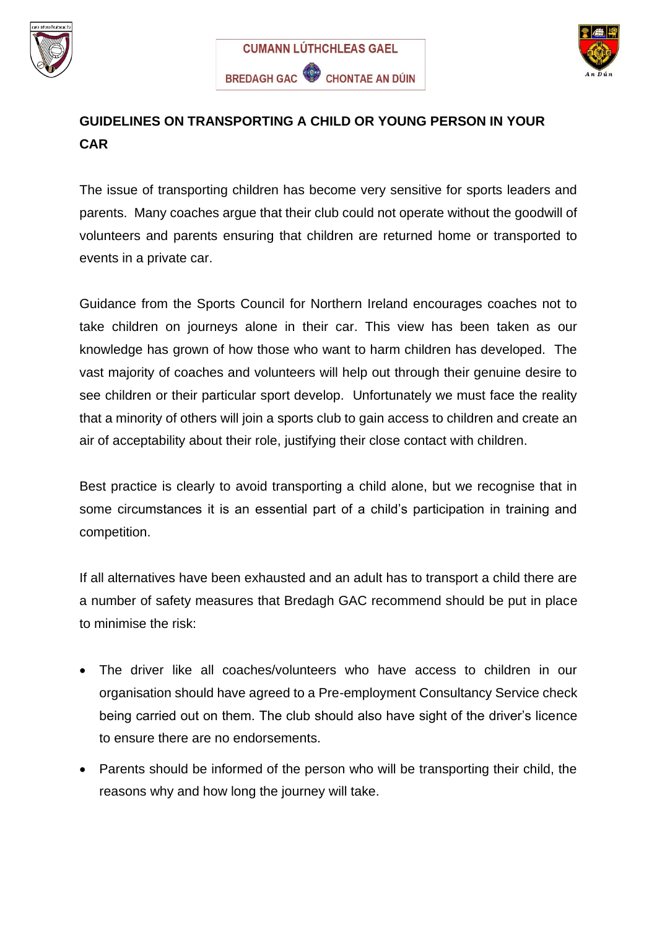





## **GUIDELINES ON TRANSPORTING A CHILD OR YOUNG PERSON IN YOUR CAR**

The issue of transporting children has become very sensitive for sports leaders and parents. Many coaches argue that their club could not operate without the goodwill of volunteers and parents ensuring that children are returned home or transported to events in a private car.

Guidance from the Sports Council for Northern Ireland encourages coaches not to take children on journeys alone in their car. This view has been taken as our knowledge has grown of how those who want to harm children has developed. The vast majority of coaches and volunteers will help out through their genuine desire to see children or their particular sport develop. Unfortunately we must face the reality that a minority of others will join a sports club to gain access to children and create an air of acceptability about their role, justifying their close contact with children.

Best practice is clearly to avoid transporting a child alone, but we recognise that in some circumstances it is an essential part of a child's participation in training and competition.

If all alternatives have been exhausted and an adult has to transport a child there are a number of safety measures that Bredagh GAC recommend should be put in place to minimise the risk:

- The driver like all coaches/volunteers who have access to children in our organisation should have agreed to a Pre-employment Consultancy Service check being carried out on them. The club should also have sight of the driver's licence to ensure there are no endorsements.
- Parents should be informed of the person who will be transporting their child, the reasons why and how long the journey will take.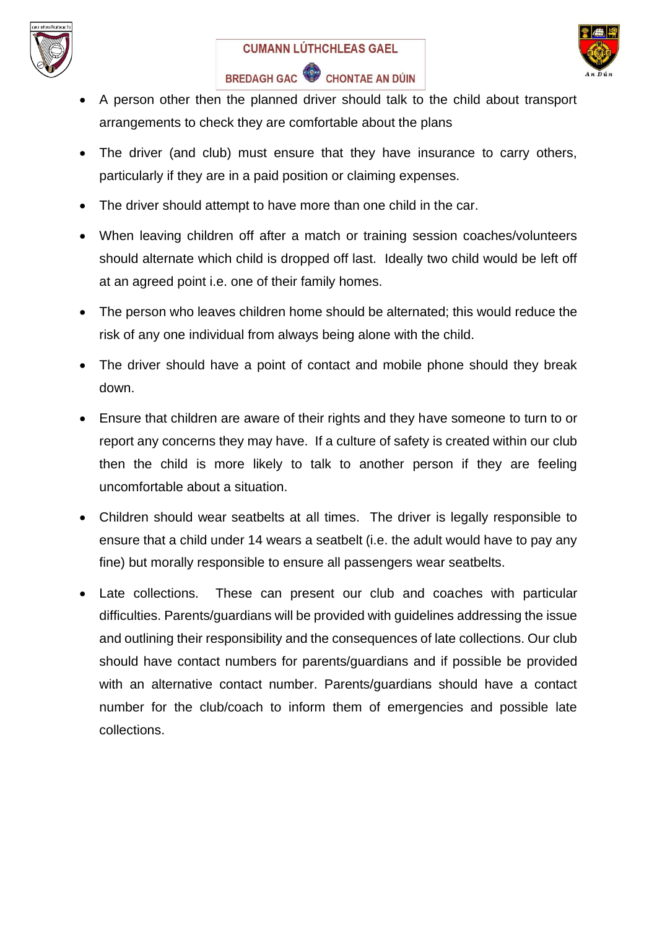



## BREDAGH GAC CHONTAE AN DÚIN

- A person other then the planned driver should talk to the child about transport arrangements to check they are comfortable about the plans
- The driver (and club) must ensure that they have insurance to carry others, particularly if they are in a paid position or claiming expenses.
- The driver should attempt to have more than one child in the car.
- When leaving children off after a match or training session coaches/volunteers should alternate which child is dropped off last. Ideally two child would be left off at an agreed point i.e. one of their family homes.
- The person who leaves children home should be alternated; this would reduce the risk of any one individual from always being alone with the child.
- The driver should have a point of contact and mobile phone should they break down.
- Ensure that children are aware of their rights and they have someone to turn to or report any concerns they may have. If a culture of safety is created within our club then the child is more likely to talk to another person if they are feeling uncomfortable about a situation.
- Children should wear seatbelts at all times. The driver is legally responsible to ensure that a child under 14 wears a seatbelt (i.e. the adult would have to pay any fine) but morally responsible to ensure all passengers wear seatbelts.
- Late collections. These can present our club and coaches with particular difficulties. Parents/guardians will be provided with guidelines addressing the issue and outlining their responsibility and the consequences of late collections. Our club should have contact numbers for parents/guardians and if possible be provided with an alternative contact number. Parents/guardians should have a contact number for the club/coach to inform them of emergencies and possible late collections.